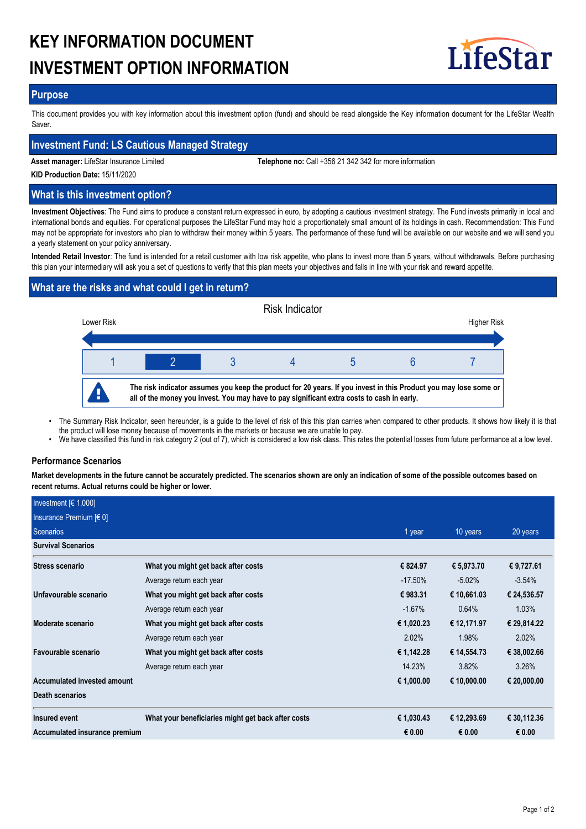# **KEY INFORMATION DOCUMENT INVESTMENT OPTION INFORMATION**



## **Purpose**

This document provides you with key information about this investment option (fund) and should be read alongside the Key information document for the LifeStar Wealth Saver.

## **Investment Fund: LS Cautious Managed Strategy**

**Asset manager:** LifeStar Insurance Limited **Telephone no:** Call +356 21 342 342 for more information

**KID Production Date:** 15/11/2020

## **What is this investment option?**

**Investment Objectives**: The Fund aims to produce a constant return expressed in euro, by adopting a cautious investment strategy. The Fund invests primarily in local and international bonds and equities. For operational purposes the LifeStar Fund may hold a proportionately small amount of its holdings in cash. Recommendation: This Fund may not be appropriate for investors who plan to withdraw their money within 5 years. The performance of these fund will be available on our website and we will send you a yearly statement on your policy anniversary.

**Intended Retail Investor**: The fund is intended for a retail customer with low risk appetite, who plans to invest more than 5 years, without withdrawals. Before purchasing this plan your intermediary will ask you a set of questions to verify that this plan meets your objectives and falls in line with your risk and reward appetite.

# **What are the risks and what could I get in return?**



- The Summary Risk Indicator, seen hereunder, is a guide to the level of risk of this this plan carries when compared to other products. It shows how likely it is that the product will lose money because of movements in the markets or because we are unable to pay. •
- We have classified this fund in risk category 2 (out of 7), which is considered a low risk class. This rates the potential losses from future performance at a low level.

## **Performance Scenarios**

**Market developments in the future cannot be accurately predicted. The scenarios shown are only an indication of some of the possible outcomes based on recent returns. Actual returns could be higher or lower.**

| Investment $[6 1,000]$        |                                                    |            |             |             |
|-------------------------------|----------------------------------------------------|------------|-------------|-------------|
| Insurance Premium [€ 0]       |                                                    |            |             |             |
| <b>Scenarios</b>              |                                                    | 1 year     | 10 years    | 20 years    |
| <b>Survival Scenarios</b>     |                                                    |            |             |             |
| Stress scenario               | What you might get back after costs                | € 824.97   | € 5,973.70  | € 9,727.61  |
|                               | Average return each year                           | $-17.50\%$ | $-5.02\%$   | $-3.54%$    |
| Unfavourable scenario         | What you might get back after costs                | €983.31    | € 10,661.03 | € 24,536.57 |
|                               | Average return each year                           | $-1.67%$   | 0.64%       | 1.03%       |
| Moderate scenario             | What you might get back after costs                | € 1,020.23 | € 12,171.97 | € 29,814.22 |
|                               | Average return each year                           | 2.02%      | 1.98%       | 2.02%       |
| Favourable scenario           | What you might get back after costs                | € 1,142.28 | € 14,554.73 | € 38,002.66 |
|                               | Average return each year                           | 14.23%     | 3.82%       | 3.26%       |
| Accumulated invested amount   |                                                    | € 1,000.00 | € 10,000.00 | € 20,000.00 |
| <b>Death scenarios</b>        |                                                    |            |             |             |
| Insured event                 | What your beneficiaries might get back after costs | € 1,030.43 | € 12,293.69 | € 30,112.36 |
| Accumulated insurance premium |                                                    | € 0.00     | € 0.00      | € 0.00      |